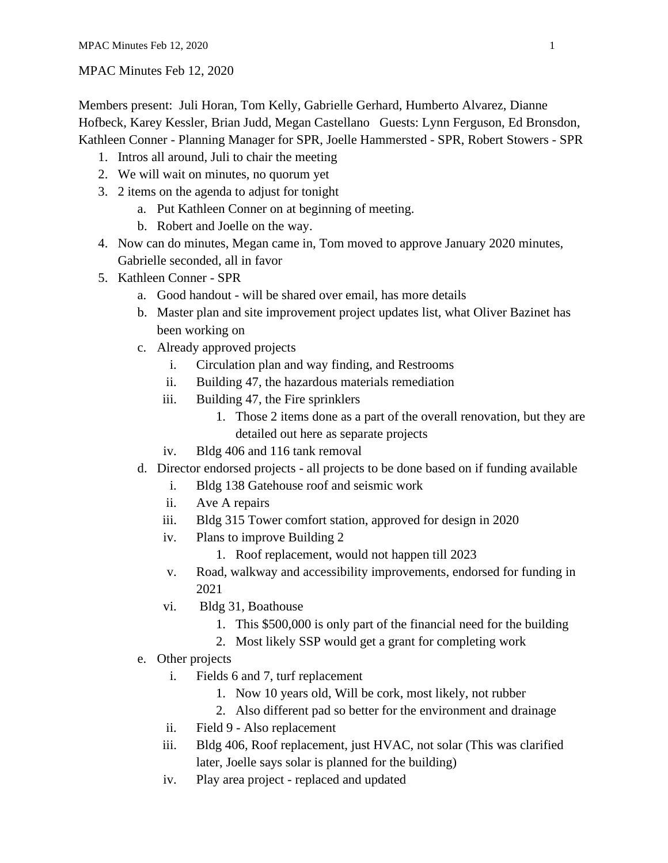## MPAC Minutes Feb 12, 2020

Members present: Juli Horan, Tom Kelly, Gabrielle Gerhard, Humberto Alvarez, Dianne Hofbeck, Karey Kessler, Brian Judd, Megan Castellano Guests: Lynn Ferguson, Ed Bronsdon, Kathleen Conner - Planning Manager for SPR, Joelle Hammersted - SPR, Robert Stowers - SPR

- 1. Intros all around, Juli to chair the meeting
- 2. We will wait on minutes, no quorum yet
- 3. 2 items on the agenda to adjust for tonight
	- a. Put Kathleen Conner on at beginning of meeting.
	- b. Robert and Joelle on the way.
- 4. Now can do minutes, Megan came in, Tom moved to approve January 2020 minutes, Gabrielle seconded, all in favor
- 5. Kathleen Conner SPR
	- a. Good handout will be shared over email, has more details
	- b. Master plan and site improvement project updates list, what Oliver Bazinet has been working on
	- c. Already approved projects
		- i. Circulation plan and way finding, and Restrooms
		- ii. Building 47, the hazardous materials remediation
		- iii. Building 47, the Fire sprinklers
			- 1. Those 2 items done as a part of the overall renovation, but they are detailed out here as separate projects
		- iv. Bldg 406 and 116 tank removal
	- d. Director endorsed projects all projects to be done based on if funding available
		- i. Bldg 138 Gatehouse roof and seismic work
		- ii. Ave A repairs
		- iii. Bldg 315 Tower comfort station, approved for design in 2020
		- iv. Plans to improve Building 2
			- 1. Roof replacement, would not happen till 2023
		- v. Road, walkway and accessibility improvements, endorsed for funding in 2021
		- vi. Bldg 31, Boathouse
			- 1. This \$500,000 is only part of the financial need for the building
			- 2. Most likely SSP would get a grant for completing work
	- e. Other projects
		- i. Fields 6 and 7, turf replacement
			- 1. Now 10 years old, Will be cork, most likely, not rubber
			- 2. Also different pad so better for the environment and drainage
		- ii. Field 9 Also replacement
		- iii. Bldg 406, Roof replacement, just HVAC, not solar (This was clarified later, Joelle says solar is planned for the building)
		- iv. Play area project replaced and updated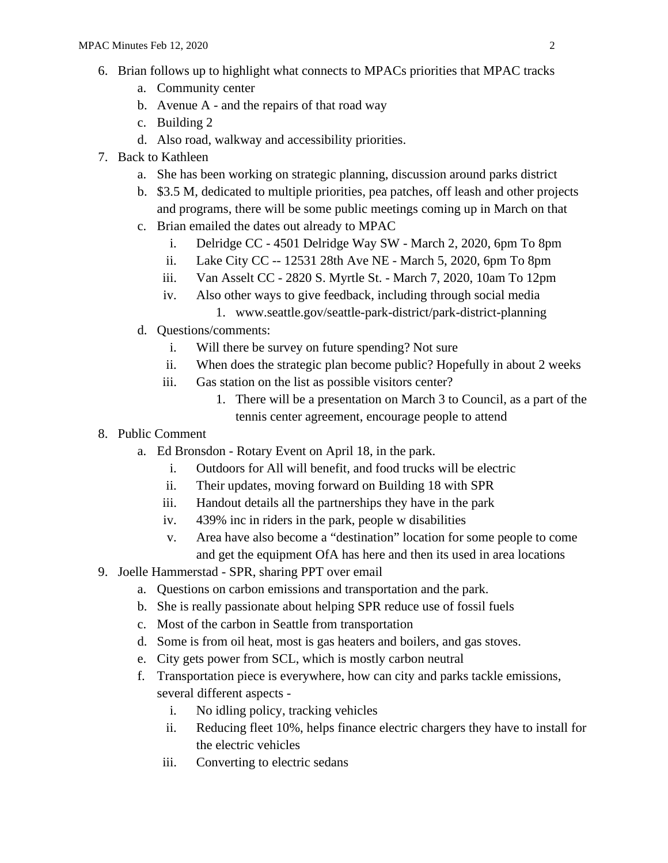- 6. Brian follows up to highlight what connects to MPACs priorities that MPAC tracks
	- a. Community center
	- b. Avenue A and the repairs of that road way
	- c. Building 2
	- d. Also road, walkway and accessibility priorities.
- 7. Back to Kathleen
	- a. She has been working on strategic planning, discussion around parks district
	- b. \$3.5 M, dedicated to multiple priorities, pea patches, off leash and other projects and programs, there will be some public meetings coming up in March on that
	- c. Brian emailed the dates out already to MPAC
		- i. Delridge CC 4501 Delridge Way SW March 2, 2020, 6pm To 8pm
		- ii. Lake City CC -- 12531 28th Ave NE March 5, 2020, 6pm To 8pm
		- iii. Van Asselt CC 2820 S. Myrtle St. March 7, 2020, 10am To 12pm
		- iv. Also other ways to give feedback, including through social media
			- 1. www.seattle.gov/seattle-park-district/park-district-planning
	- d. Questions/comments:
		- i. Will there be survey on future spending? Not sure
		- ii. When does the strategic plan become public? Hopefully in about 2 weeks
		- iii. Gas station on the list as possible visitors center?
			- 1. There will be a presentation on March 3 to Council, as a part of the tennis center agreement, encourage people to attend
- 8. Public Comment
	- a. Ed Bronsdon Rotary Event on April 18, in the park.
		- i. Outdoors for All will benefit, and food trucks will be electric
		- ii. Their updates, moving forward on Building 18 with SPR
		- iii. Handout details all the partnerships they have in the park
		- iv. 439% inc in riders in the park, people w disabilities
		- v. Area have also become a "destination" location for some people to come and get the equipment OfA has here and then its used in area locations
- 9. Joelle Hammerstad SPR, sharing PPT over email
	- a. Questions on carbon emissions and transportation and the park.
	- b. She is really passionate about helping SPR reduce use of fossil fuels
	- c. Most of the carbon in Seattle from transportation
	- d. Some is from oil heat, most is gas heaters and boilers, and gas stoves.
	- e. City gets power from SCL, which is mostly carbon neutral
	- f. Transportation piece is everywhere, how can city and parks tackle emissions, several different aspects
		- i. No idling policy, tracking vehicles
		- ii. Reducing fleet 10%, helps finance electric chargers they have to install for the electric vehicles
		- iii. Converting to electric sedans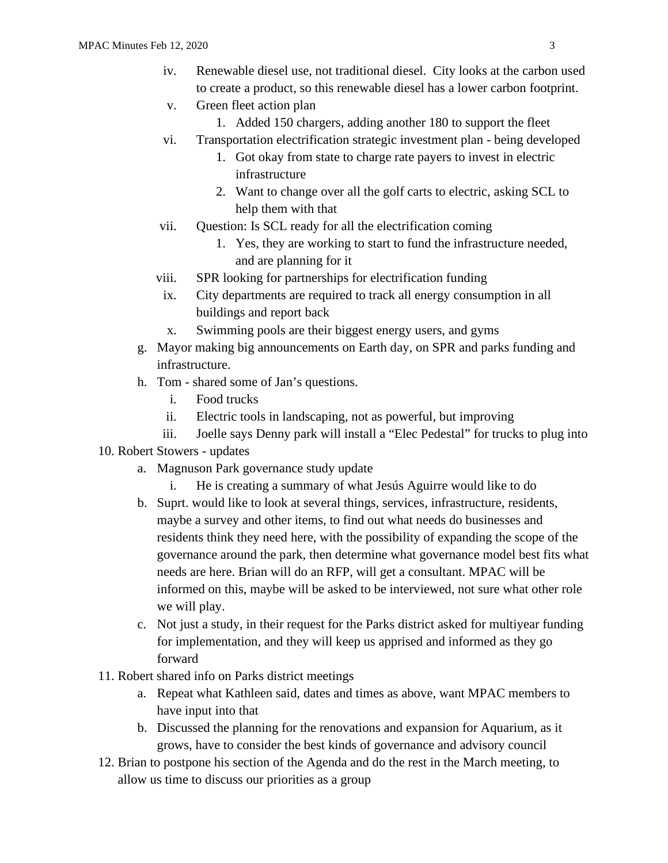- iv. Renewable diesel use, not traditional diesel. City looks at the carbon used to create a product, so this renewable diesel has a lower carbon footprint.
	- v. Green fleet action plan
		- 1. Added 150 chargers, adding another 180 to support the fleet
- vi. Transportation electrification strategic investment plan being developed
	- 1. Got okay from state to charge rate payers to invest in electric infrastructure
	- 2. Want to change over all the golf carts to electric, asking SCL to help them with that
- vii. Question: Is SCL ready for all the electrification coming
	- 1. Yes, they are working to start to fund the infrastructure needed, and are planning for it
- viii. SPR looking for partnerships for electrification funding
- ix. City departments are required to track all energy consumption in all buildings and report back
- x. Swimming pools are their biggest energy users, and gyms
- g. Mayor making big announcements on Earth day, on SPR and parks funding and infrastructure.
- h. Tom shared some of Jan's questions.
	- i. Food trucks
	- ii. Electric tools in landscaping, not as powerful, but improving
	- iii. Joelle says Denny park will install a "Elec Pedestal" for trucks to plug into
- 10. Robert Stowers updates
	- a. Magnuson Park governance study update
		- i. He is creating a summary of what Jesús Aguirre would like to do
	- b. Suprt. would like to look at several things, services, infrastructure, residents, maybe a survey and other items, to find out what needs do businesses and residents think they need here, with the possibility of expanding the scope of the governance around the park, then determine what governance model best fits what needs are here. Brian will do an RFP, will get a consultant. MPAC will be informed on this, maybe will be asked to be interviewed, not sure what other role we will play.
	- c. Not just a study, in their request for the Parks district asked for multiyear funding for implementation, and they will keep us apprised and informed as they go forward
- 11. Robert shared info on Parks district meetings
	- a. Repeat what Kathleen said, dates and times as above, want MPAC members to have input into that
	- b. Discussed the planning for the renovations and expansion for Aquarium, as it grows, have to consider the best kinds of governance and advisory council
- 12. Brian to postpone his section of the Agenda and do the rest in the March meeting, to allow us time to discuss our priorities as a group